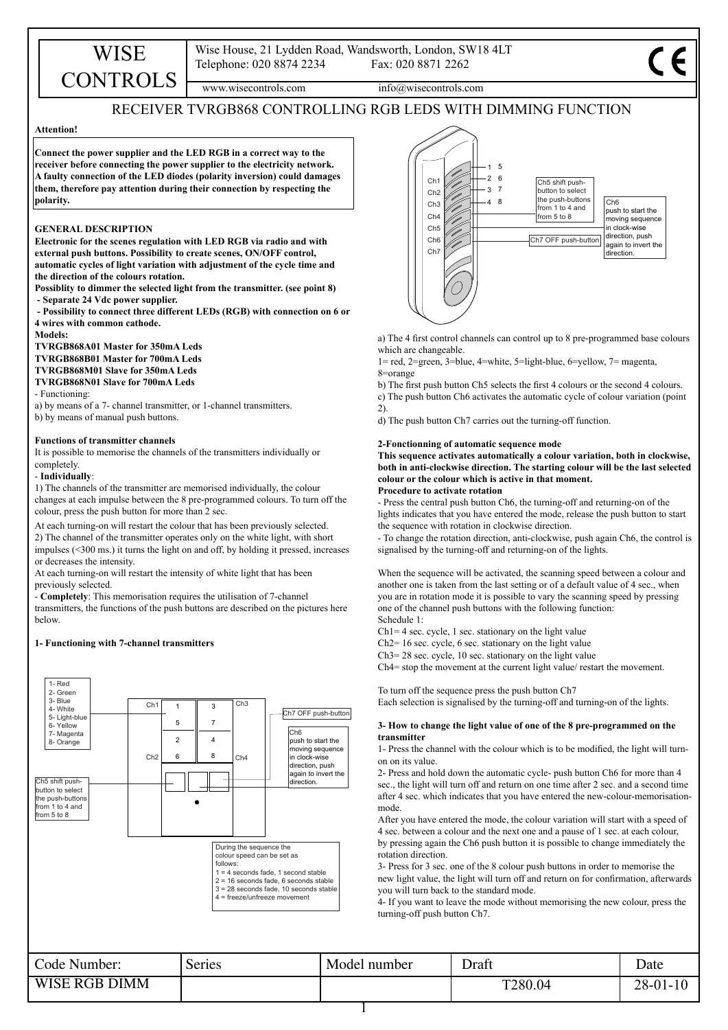www.wisecontrols.com info@wisecontrols.com

# RECEIVER TVRGB868 CONTROLLING RGB LEDS WITH DIMMING FUNCTION

# **Attention!**

**Connect the power supplier and the LED RGB in a correct way to the receiver before connecting the power supplier to the electricity network. A faulty connection of the LED diodes (polarity inversion) could damages them, therefore pay attention during their connection by respecting the polarity.**

# **GENERAL DESCRIPTION**

**Electronic for the scenes regulation with LED RGB via radio and with external push buttons. Possibility to create scenes, ON/OFF control, automatic cycles of light variation with adjustment of the cycle time and the direction of the colours rotation.**

**Possiblity to dimmer the selected light from the transmitter. (see point 8) - Separate 24 Vdc power supplier.** 

 **- Possibility to connect three different LEDs (RGB) with connection on 6 or 4 wires with common cathode.**

**Models:**

**TVRGB868A01 Master for 350mA Leds**

WISE **CONTROLS** 

**TVRGB868B01 Master for 700mA Leds**

**TVRGB868M01 Slave for 350mA Leds TVRGB868N01 Slave for 700mA Leds**

- Functioning:

a) by means of a 7- channel transmitter, or 1-channel transmitters.

b) by means of manual push buttons.

# **Functions of transmitter channels**

It is possible to memorise the channels of the transmitters individually or completely.

# - **Individually**:

1) The channels of the transmitter are memorised individually, the colour changes at each impulse between the 8 pre-programmed colours. To turn off the colour, press the push button for more than 2 sec.

At each turning-on will restart the colour that has been previously selected. 2) The channel of the transmitter operates only on the white light, with short impulses (<300 ms.) it turns the light on and off, by holding it pressed, increases or decreases the intensity.

At each turning-on will restart the intensity of white light that has been previously selected.

- **Completely**: This memorisation requires the utilisation of 7-channel transmitters, the functions of the push buttons are described on the pictures here below.

## **1- Functioning with 7-channel transmitters**





a) The 4 first control channels can control up to 8 pre-programmed base colours which are changeable.

1= red, 2=green, 3=blue, 4=white, 5=light-blue, 6=yellow, 7= magenta, 8=orange

b) The first push button Ch5 selects the first 4 colours or the second 4 colours.

c) The push button Ch6 activates the automatic cycle of colour variation (point 2).

d) The push button Ch7 carries out the turning-off function.

### **2-Fonctionning of automatic sequence mode**

**This sequence activates automatically a colour variation, both in clockwise, both in anti-clockwise direction. The starting colour will be the last selected colour or the colour which is active in that moment. Procedure to activate rotation**

- Press the central push button Ch6, the turning-off and returning-on of the lights indicates that you have entered the mode, release the push button to start the sequence with rotation in clockwise direction.

- To change the rotation direction, anti-clockwise, push again Ch6, the control is signalised by the turning-off and returning-on of the lights.

When the sequence will be activated, the scanning speed between a colour and another one is taken from the last setting or of a default value of 4 sec., when you are in rotation mode it is possible to vary the scanning speed by pressing one of the channel push buttons with the following function: Schedule 1:

 $Ch1=4$  sec. cycle, 1 sec. stationary on the light value

Ch2= 16 sec. cycle, 6 sec. stationary on the light value

Ch3= 28 sec. cycle, 10 sec. stationary on the light value

Ch4= stop the movement at the current light value/ restart the movement.

To turn off the sequence press the push button Ch7

Each selection is signalised by the turning-off and turning-on of the lights.

## **3- How to change the light value of one of the 8 pre-programmed on the transmitter**

1- Press the channel with the colour which is to be modified, the light will turnon on its value.

2- Press and hold down the automatic cycle- push button Ch6 for more than 4 sec., the light will turn off and return on one time after 2 sec. and a second time after 4 sec. which indicates that you have entered the new-colour-memorisationmode.

After you have entered the mode, the colour variation will start with a speed of 4 sec. between a colour and the next one and a pause of 1 sec. at each colour, by pressing again the Ch6 push button it is possible to change immediately the rotation direction.

3- Press for 3 sec. one of the 8 colour push buttons in order to memorise the new light value, the light will turn off and return on for confirmation, afterwards you will turn back to the standard mode.

4- If you want to leave the mode without memorising the new colour, press the turning-off push button Ch7.

| Code Number:         | Series | Model number | Draft   | Date           |
|----------------------|--------|--------------|---------|----------------|
| <b>WISE RGB DIMM</b> |        |              | T280.04 | $28 - 01 - 10$ |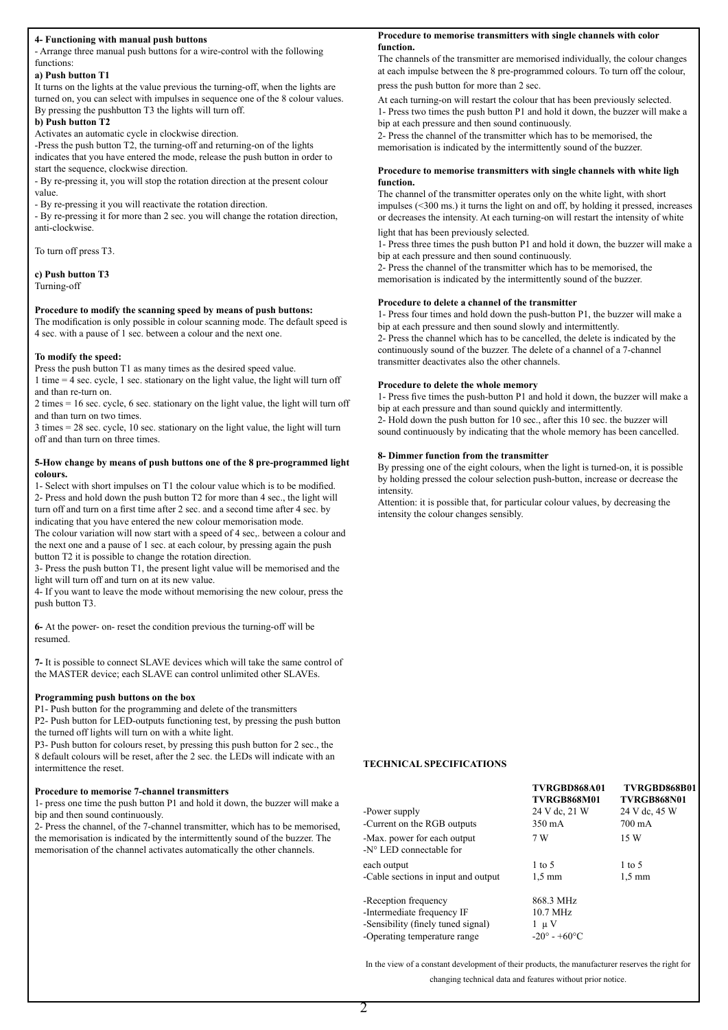## **4- Functioning with manual push buttons**

- Arrange three manual push buttons for a wire-control with the following functions:

# **a) Push button T1**

It turns on the lights at the value previous the turning-off, when the lights are turned on, you can select with impulses in sequence one of the 8 colour values. By pressing the pushbutton T3 the lights will turn off.

### **b) Push button T2**

Activates an automatic cycle in clockwise direction.

-Press the push button T2, the turning-off and returning-on of the lights indicates that you have entered the mode, release the push button in order to start the sequence, clockwise direction.

- By re-pressing it, you will stop the rotation direction at the present colour value.

- By re-pressing it you will reactivate the rotation direction.

- By re-pressing it for more than 2 sec. you will change the rotation direction, anti-clockwise.

To turn off press T3.

## **c) Push button T3** Turning-off

# **Procedure to modify the scanning speed by means of push buttons:**

The modification is only possible in colour scanning mode. The default speed is 4 sec. with a pause of 1 sec. between a colour and the next one.

## **To modify the speed:**

Press the push button T1 as many times as the desired speed value.

1 time = 4 sec. cycle, 1 sec. stationary on the light value, the light will turn off and than re-turn on.

2 times = 16 sec. cycle, 6 sec. stationary on the light value, the light will turn off and than turn on two times.

3 times = 28 sec. cycle, 10 sec. stationary on the light value, the light will turn off and than turn on three times.

## **5-How change by means of push buttons one of the 8 pre-programmed light colours.**

1- Select with short impulses on T1 the colour value which is to be modified. 2- Press and hold down the push button T2 for more than 4 sec., the light will turn off and turn on a first time after 2 sec. and a second time after 4 sec. by indicating that you have entered the new colour memorisation mode. The colour variation will now start with a speed of 4 sec,. between a colour and the next one and a pause of 1 sec. at each colour, by pressing again the push

button T2 it is possible to change the rotation direction. 3- Press the push button T1, the present light value will be memorised and the light will turn off and turn on at its new value.

4- If you want to leave the mode without memorising the new colour, press the push button T3.

**6-** At the power- on- reset the condition previous the turning-off will be resumed.

**7-** It is possible to connect SLAVE devices which will take the same control of the MASTER device; each SLAVE can control unlimited other SLAVEs.

## **Programming push buttons on the box**

P1- Push button for the programming and delete of the transmitters

P2- Push button for LED-outputs functioning test, by pressing the push button the turned off lights will turn on with a white light.

P3- Push button for colours reset, by pressing this push button for 2 sec., the 8 default colours will be reset, after the 2 sec. the LEDs will indicate with an intermittence the reset.

#### **Procedure to memorise 7-channel transmitters**

1- press one time the push button P1 and hold it down, the buzzer will make a bip and then sound continuously.

2- Press the channel, of the 7-channel transmitter, which has to be memorised, the memorisation is indicated by the intermittently sound of the buzzer. The memorisation of the channel activates automatically the other channels.

## **Procedure to memorise transmitters with single channels with color function.**

The channels of the transmitter are memorised individually, the colour changes at each impulse between the 8 pre-programmed colours. To turn off the colour, press the push button for more than 2 sec.

At each turning-on will restart the colour that has been previously selected. 1- Press two times the push button P1 and hold it down, the buzzer will make a bip at each pressure and then sound continuously.

2- Press the channel of the transmitter which has to be memorised, the memorisation is indicated by the intermittently sound of the buzzer.

## **Procedure to memorise transmitters with single channels with white ligh function.**

The channel of the transmitter operates only on the white light, with short impulses (<300 ms.) it turns the light on and off, by holding it pressed, increases or decreases the intensity. At each turning-on will restart the intensity of white light that has been previously selected.

1- Press three times the push button P1 and hold it down, the buzzer will make a bip at each pressure and then sound continuously.

2- Press the channel of the transmitter which has to be memorised, the memorisation is indicated by the intermittently sound of the buzzer.

# **Procedure to delete a channel of the transmitter**

1- Press four times and hold down the push-button P1, the buzzer will make a bip at each pressure and then sound slowly and intermittently. 2- Press the channel which has to be cancelled, the delete is indicated by the continuously sound of the buzzer. The delete of a channel of a 7-channel transmitter deactivates also the other channels.

## **Procedure to delete the whole memory**

1- Press five times the push-button P1 and hold it down, the buzzer will make a bip at each pressure and than sound quickly and intermittently. 2- Hold down the push button for 10 sec., after this 10 sec. the buzzer will sound continuously by indicating that the whole memory has been cancelled.

### **8- Dimmer function from the transmitter**

By pressing one of the eight colours, when the light is turned-on, it is possible by holding pressed the colour selection push-button, increase or decrease the intensity.

Attention: it is possible that, for particular colour values, by decreasing the intensity the colour changes sensibly.

## **TECHNICAL SPECIFICATIONS**

|                                                                 | TVRGBD868A01<br>TVRGB868M01   | TVRGBD868B01<br>TVRGB868N01 |  |
|-----------------------------------------------------------------|-------------------------------|-----------------------------|--|
| -Power supply                                                   | 24 V dc, 21 W                 | 24 V dc, 45 W               |  |
| -Current on the RGB outputs                                     | 350 mA                        | 700 mA                      |  |
| -Max, power for each output<br>$-N^{\circ}$ LED connectable for | 7 W                           | 15 W                        |  |
| each output                                                     | $1 \text{ to } 5$             | $1$ to 5                    |  |
| -Cable sections in input and output                             | $1.5 \text{ mm}$              | $1.5 \text{ mm}$            |  |
| -Reception frequency                                            | 868.3 MHz                     |                             |  |
| -Intermediate frequency IF                                      | 10.7 MHz                      |                             |  |
| -Sensibility (finely tuned signal)                              | 1 u V                         |                             |  |
| -Operating temperature range                                    | $-20^{\circ} - +60^{\circ}$ C |                             |  |

In the view of a constant development of their products, the manufacturer reserves the right for changing technical data and features without prior notice.